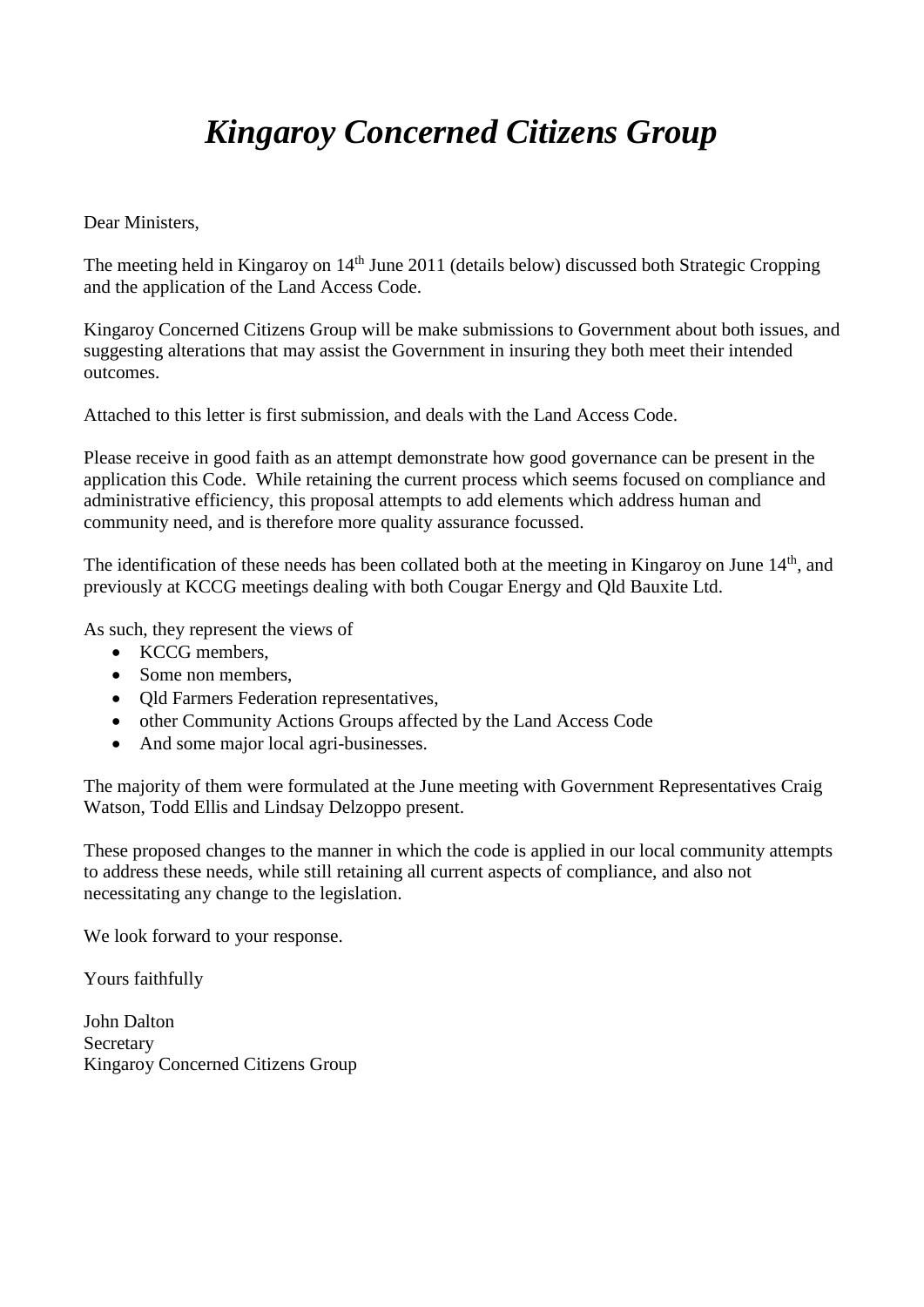# *Kingaroy Concerned Citizens Group*

Dear Ministers,

The meeting held in Kingaroy on 14<sup>th</sup> June 2011 (details below) discussed both Strategic Cropping and the application of the Land Access Code.

Kingaroy Concerned Citizens Group will be make submissions to Government about both issues, and suggesting alterations that may assist the Government in insuring they both meet their intended outcomes.

Attached to this letter is first submission, and deals with the Land Access Code.

Please receive in good faith as an attempt demonstrate how good governance can be present in the application this Code. While retaining the current process which seems focused on compliance and administrative efficiency, this proposal attempts to add elements which address human and community need, and is therefore more quality assurance focussed.

The identification of these needs has been collated both at the meeting in Kingaroy on June 14<sup>th</sup>, and previously at KCCG meetings dealing with both Cougar Energy and Qld Bauxite Ltd.

As such, they represent the views of

- KCCG members,
- Some non members.
- Qld Farmers Federation representatives,
- other Community Actions Groups affected by the Land Access Code
- And some major local agri-businesses.

The majority of them were formulated at the June meeting with Government Representatives Craig Watson, Todd Ellis and Lindsay Delzoppo present.

These proposed changes to the manner in which the code is applied in our local community attempts to address these needs, while still retaining all current aspects of compliance, and also not necessitating any change to the legislation.

We look forward to your response.

Yours faithfully

John Dalton Secretary Kingaroy Concerned Citizens Group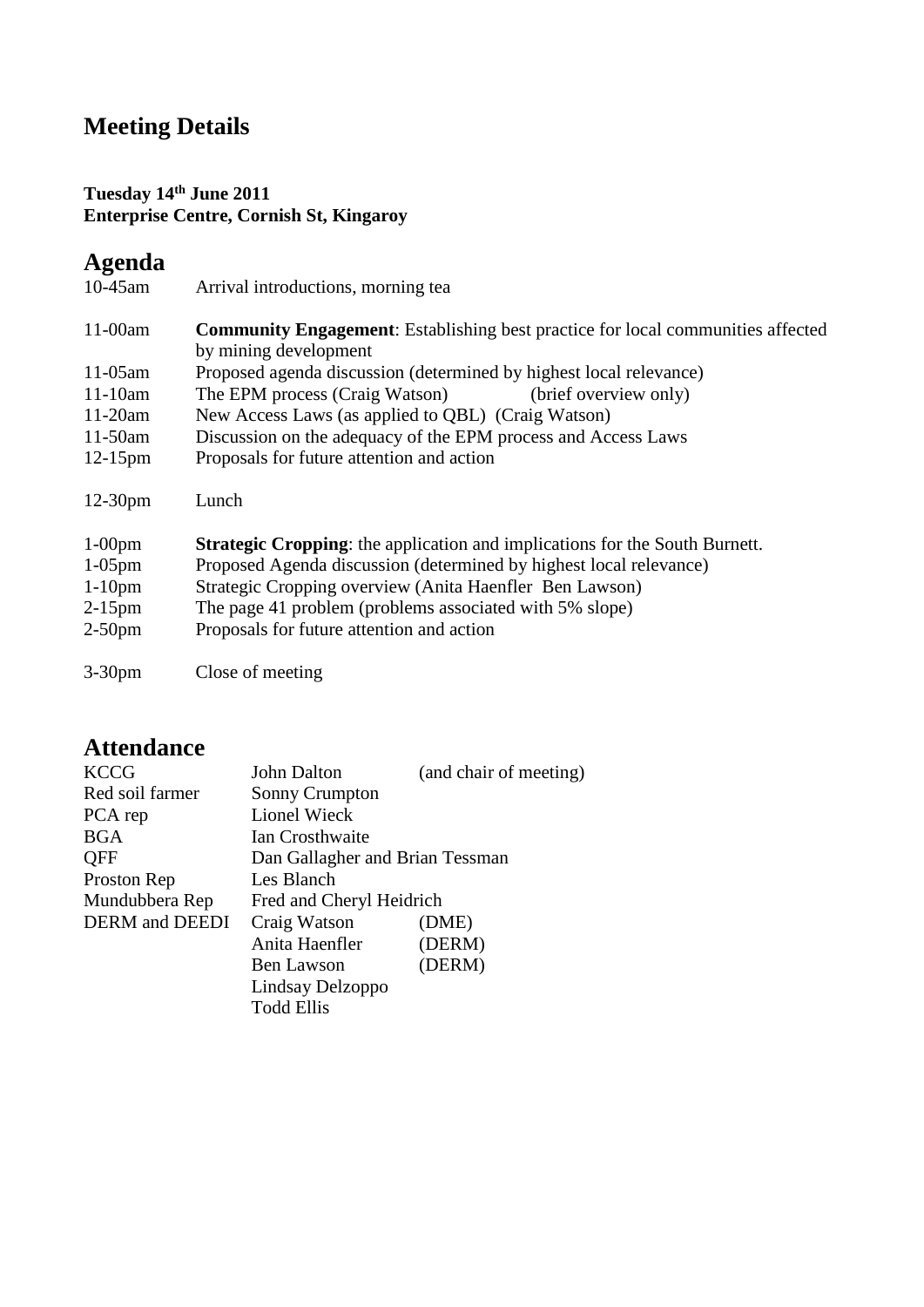# **Meeting Details**

#### **Tuesday 14th June 2011 Enterprise Centre, Cornish St, Kingaroy**

# **Agenda**

10-45am Arrival introductions, morning tea

11-00am **Community Engagement**: Establishing best practice for local communities affected by mining development 11-05am Proposed agenda discussion (determined by highest local relevance) 11-10am The EPM process (Craig Watson) (brief overview only) 11-20am New Access Laws (as applied to QBL) (Craig Watson) 11-50am Discussion on the adequacy of the EPM process and Access Laws 12-15pm Proposals for future attention and action 12-30pm Lunch

| $1-00$ pm | <b>Strategic Cropping:</b> the application and implications for the South Burnett. |
|-----------|------------------------------------------------------------------------------------|
| $1-05$ pm | Proposed Agenda discussion (determined by highest local relevance)                 |
| $1-10$ pm | Strategic Cropping overview (Anita Haenfler Ben Lawson)                            |
| $2-15$ pm | The page 41 problem (problems associated with 5% slope)                            |
| $2-50$ pm | Proposals for future attention and action                                          |

3-30pm Close of meeting

# **Attendance**

| <b>KCCG</b>                  | John Dalton                     | (and chair of meeting) |
|------------------------------|---------------------------------|------------------------|
| Red soil farmer              | <b>Sonny Crumpton</b>           |                        |
| PCA rep                      | <b>Lionel Wieck</b>             |                        |
| <b>BGA</b>                   | Ian Crosthwaite                 |                        |
| QFF                          | Dan Gallagher and Brian Tessman |                        |
| Proston Rep                  | Les Blanch                      |                        |
| Mundubbera Rep               | Fred and Cheryl Heidrich        |                        |
| <b>DERM</b> and <b>DEEDI</b> | Craig Watson                    | (DME)                  |
|                              | Anita Haenfler                  | (DERM)                 |
|                              | Ben Lawson                      | (DERM)                 |
|                              | Lindsay Delzoppo                |                        |
|                              | <b>Todd Ellis</b>               |                        |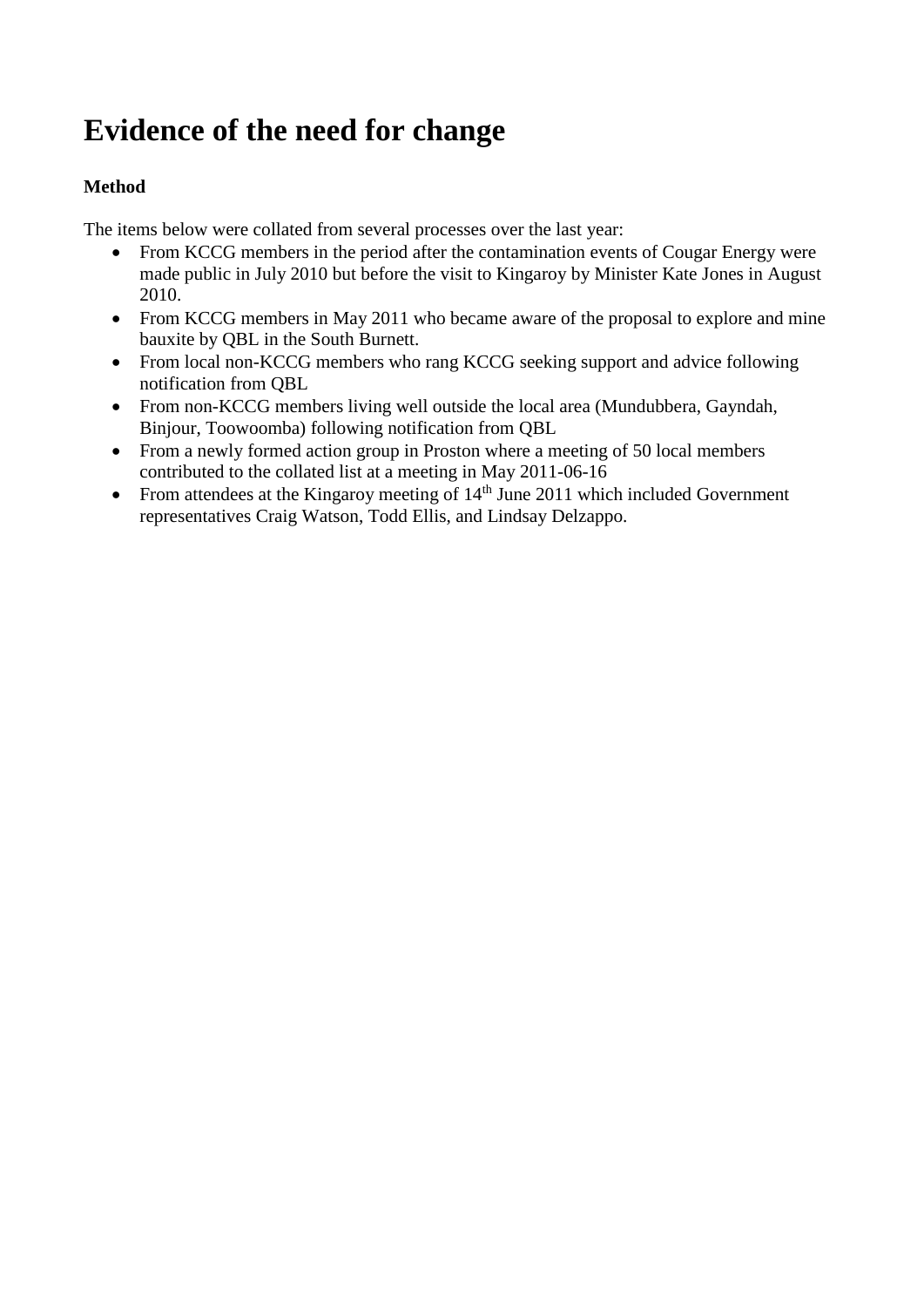# **Evidence of the need for change**

### **Method**

The items below were collated from several processes over the last year:

- From KCCG members in the period after the contamination events of Cougar Energy were made public in July 2010 but before the visit to Kingaroy by Minister Kate Jones in August 2010.
- From KCCG members in May 2011 who became aware of the proposal to explore and mine bauxite by QBL in the South Burnett.
- From local non-KCCG members who rang KCCG seeking support and advice following notification from QBL
- From non-KCCG members living well outside the local area (Mundubbera, Gayndah, Binjour, Toowoomba) following notification from QBL
- From a newly formed action group in Proston where a meeting of 50 local members contributed to the collated list at a meeting in May 2011-06-16
- From attendees at the Kingaroy meeting of  $14<sup>th</sup>$  June 2011 which included Government representatives Craig Watson, Todd Ellis, and Lindsay Delzappo.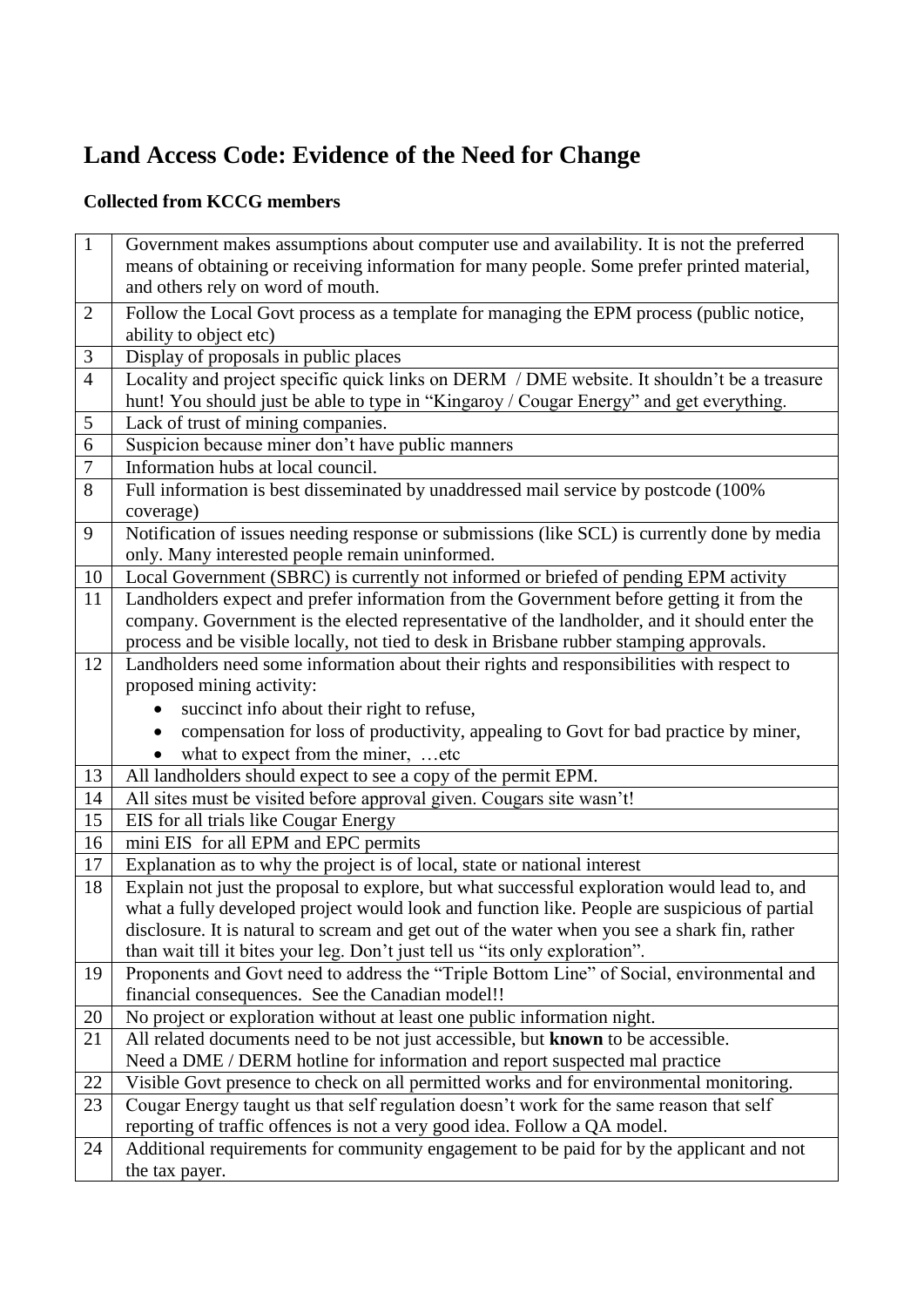# **Land Access Code: Evidence of the Need for Change**

## **Collected from KCCG members**

| $\mathbf{1}$   | Government makes assumptions about computer use and availability. It is not the preferred        |
|----------------|--------------------------------------------------------------------------------------------------|
|                | means of obtaining or receiving information for many people. Some prefer printed material,       |
|                | and others rely on word of mouth.                                                                |
| $\overline{2}$ | Follow the Local Govt process as a template for managing the EPM process (public notice,         |
|                | ability to object etc)                                                                           |
| 3              | Display of proposals in public places                                                            |
| $\overline{4}$ | Locality and project specific quick links on DERM / DME website. It shouldn't be a treasure      |
|                | hunt! You should just be able to type in "Kingaroy / Cougar Energy" and get everything.          |
| 5              | Lack of trust of mining companies.                                                               |
| 6              | Suspicion because miner don't have public manners                                                |
| 7              | Information hubs at local council.                                                               |
| 8              | Full information is best disseminated by unaddressed mail service by postcode (100%              |
|                | coverage)                                                                                        |
| 9              | Notification of issues needing response or submissions (like SCL) is currently done by media     |
|                | only. Many interested people remain uninformed.                                                  |
| 10             | Local Government (SBRC) is currently not informed or briefed of pending EPM activity             |
| 11             | Landholders expect and prefer information from the Government before getting it from the         |
|                | company. Government is the elected representative of the landholder, and it should enter the     |
|                | process and be visible locally, not tied to desk in Brisbane rubber stamping approvals.          |
| 12             | Landholders need some information about their rights and responsibilities with respect to        |
|                | proposed mining activity:                                                                        |
|                | succinct info about their right to refuse,                                                       |
|                | compensation for loss of productivity, appealing to Govt for bad practice by miner,<br>$\bullet$ |
|                | what to expect from the miner,  etc                                                              |
| 13             | All landholders should expect to see a copy of the permit EPM.                                   |
| 14             | All sites must be visited before approval given. Cougars site wasn't!                            |
| 15             | EIS for all trials like Cougar Energy                                                            |
| 16             | mini EIS for all EPM and EPC permits                                                             |
| 17             | Explanation as to why the project is of local, state or national interest                        |
| 18             | Explain not just the proposal to explore, but what successful exploration would lead to, and     |
|                | what a fully developed project would look and function like. People are suspicious of partial    |
|                | disclosure. It is natural to scream and get out of the water when you see a shark fin, rather    |
|                | than wait till it bites your leg. Don't just tell us "its only exploration".                     |
| 19             | Proponents and Govt need to address the "Triple Bottom Line" of Social, environmental and        |
|                | financial consequences. See the Canadian model!!                                                 |
| 20             | No project or exploration without at least one public information night.                         |
| 21             | All related documents need to be not just accessible, but known to be accessible.                |
|                | Need a DME / DERM hotline for information and report suspected mal practice                      |
| 22             | Visible Govt presence to check on all permitted works and for environmental monitoring.          |
| 23             | Cougar Energy taught us that self regulation doesn't work for the same reason that self          |
|                | reporting of traffic offences is not a very good idea. Follow a QA model.                        |
| 24             | Additional requirements for community engagement to be paid for by the applicant and not         |
|                | the tax payer.                                                                                   |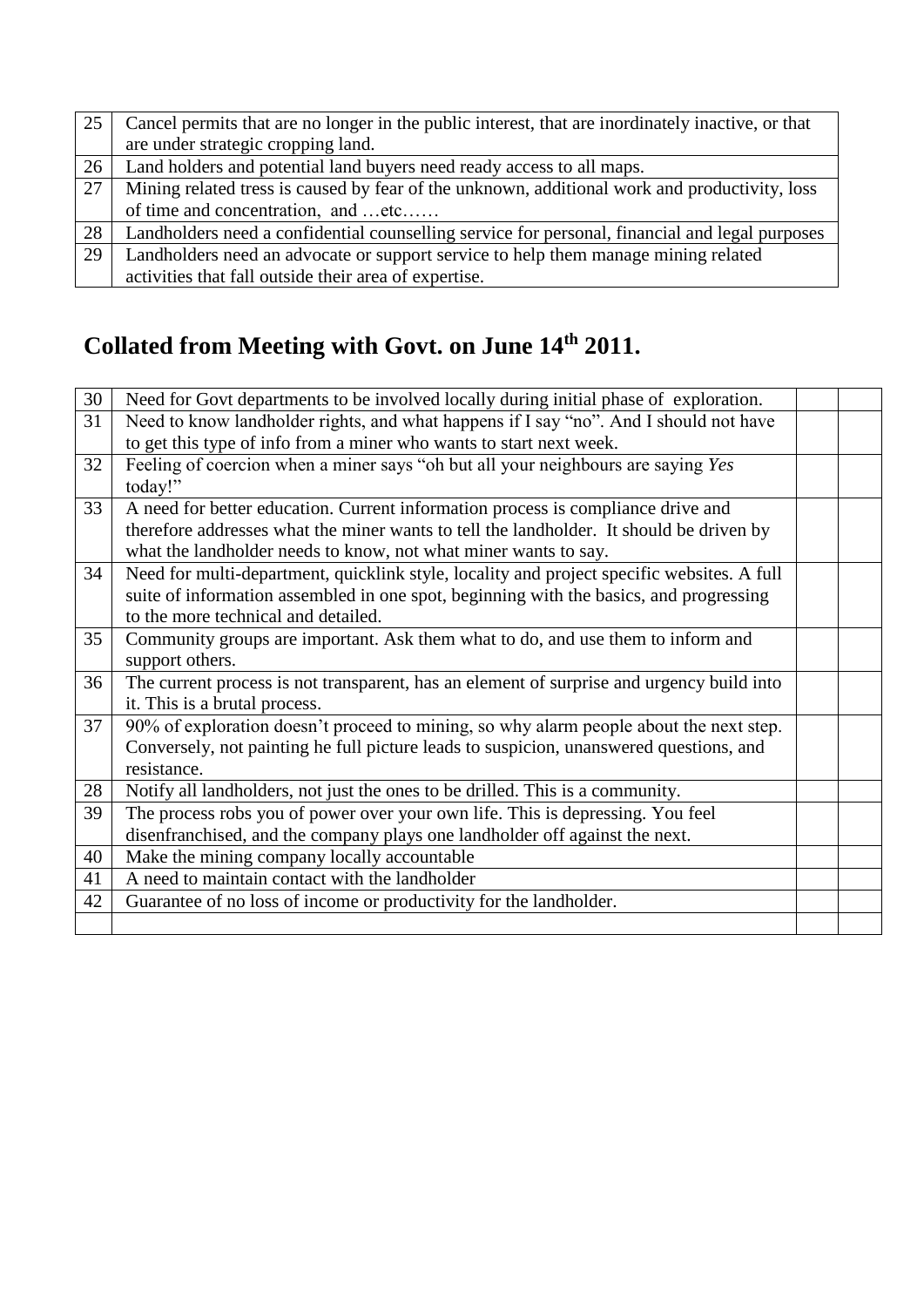| 25 | Cancel permits that are no longer in the public interest, that are inordinately inactive, or that |
|----|---------------------------------------------------------------------------------------------------|
|    | are under strategic cropping land.                                                                |
| 26 | Land holders and potential land buyers need ready access to all maps.                             |
| 27 | Mining related tress is caused by fear of the unknown, additional work and productivity, loss     |
|    | of time and concentration, and etc                                                                |
| 28 | Landholders need a confidential counselling service for personal, financial and legal purposes    |
| 29 | Landholders need an advocate or support service to help them manage mining related                |
|    | activities that fall outside their area of expertise.                                             |

# **Collated from Meeting with Govt. on June 14th 2011.**

| 30 | Need for Govt departments to be involved locally during initial phase of exploration.      |  |
|----|--------------------------------------------------------------------------------------------|--|
| 31 | Need to know landholder rights, and what happens if I say "no". And I should not have      |  |
|    | to get this type of info from a miner who wants to start next week.                        |  |
| 32 | Feeling of coercion when a miner says "oh but all your neighbours are saying Yes           |  |
|    | today!"                                                                                    |  |
| 33 | A need for better education. Current information process is compliance drive and           |  |
|    | therefore addresses what the miner wants to tell the landholder. It should be driven by    |  |
|    | what the landholder needs to know, not what miner wants to say.                            |  |
| 34 | Need for multi-department, quicklink style, locality and project specific websites. A full |  |
|    | suite of information assembled in one spot, beginning with the basics, and progressing     |  |
|    | to the more technical and detailed.                                                        |  |
| 35 | Community groups are important. Ask them what to do, and use them to inform and            |  |
|    | support others.                                                                            |  |
| 36 | The current process is not transparent, has an element of surprise and urgency build into  |  |
|    | it. This is a brutal process.                                                              |  |
| 37 | 90% of exploration doesn't proceed to mining, so why alarm people about the next step.     |  |
|    | Conversely, not painting he full picture leads to suspicion, unanswered questions, and     |  |
|    | resistance.                                                                                |  |
| 28 | Notify all landholders, not just the ones to be drilled. This is a community.              |  |
| 39 | The process robs you of power over your own life. This is depressing. You feel             |  |
|    | disenfranchised, and the company plays one landholder off against the next.                |  |
| 40 | Make the mining company locally accountable                                                |  |
| 41 | A need to maintain contact with the landholder                                             |  |
| 42 | Guarantee of no loss of income or productivity for the landholder.                         |  |
|    |                                                                                            |  |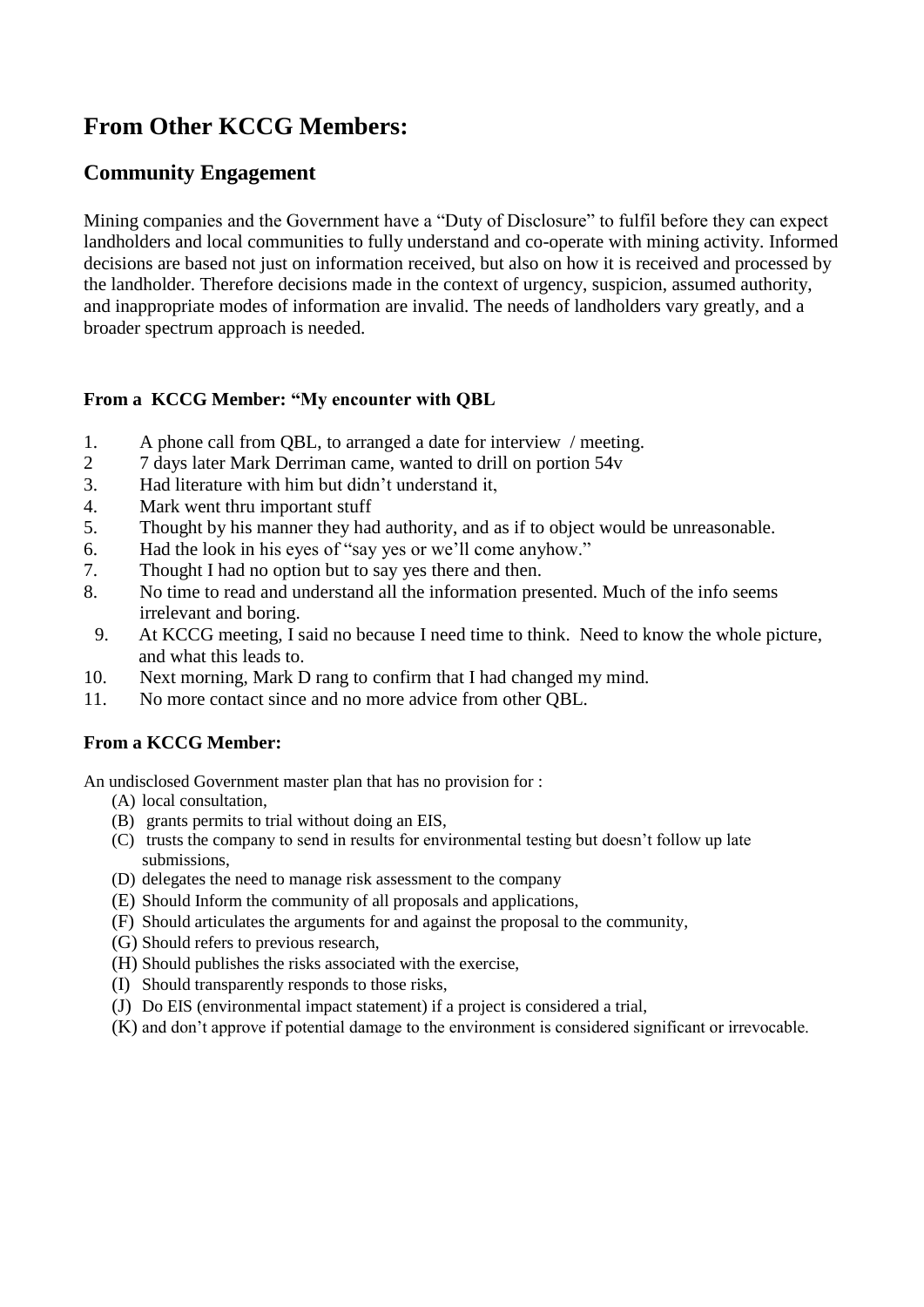# **From Other KCCG Members:**

### **Community Engagement**

Mining companies and the Government have a "Duty of Disclosure" to fulfil before they can expect landholders and local communities to fully understand and co-operate with mining activity. Informed decisions are based not just on information received, but also on how it is received and processed by the landholder. Therefore decisions made in the context of urgency, suspicion, assumed authority, and inappropriate modes of information are invalid. The needs of landholders vary greatly, and a broader spectrum approach is needed.

#### **From a KCCG Member: "My encounter with QBL**

- 1. A phone call from QBL, to arranged a date for interview / meeting.
- 2 7 days later Mark Derriman came, wanted to drill on portion 54v
- 3. Had literature with him but didn't understand it,
- 4. Mark went thru important stuff
- 5. Thought by his manner they had authority, and as if to object would be unreasonable.
- 6. Had the look in his eyes of "say yes or we'll come anyhow."
- 7. Thought I had no option but to say yes there and then.
- 8. No time to read and understand all the information presented. Much of the info seems irrelevant and boring.
- 9. At KCCG meeting, I said no because I need time to think. Need to know the whole picture, and what this leads to.
- 10. Next morning, Mark D rang to confirm that I had changed my mind.
- 11. No more contact since and no more advice from other QBL.

#### **From a KCCG Member:**

An undisclosed Government master plan that has no provision for :

- (A) local consultation,
- (B) grants permits to trial without doing an EIS,
- (C) trusts the company to send in results for environmental testing but doesn't follow up late submissions,
- (D) delegates the need to manage risk assessment to the company
- (E) Should Inform the community of all proposals and applications,
- (F) Should articulates the arguments for and against the proposal to the community,
- (G) Should refers to previous research,
- (H) Should publishes the risks associated with the exercise,
- (I) Should transparently responds to those risks,
- (J) Do EIS (environmental impact statement) if a project is considered a trial,
- (K) and don't approve if potential damage to the environment is considered significant or irrevocable.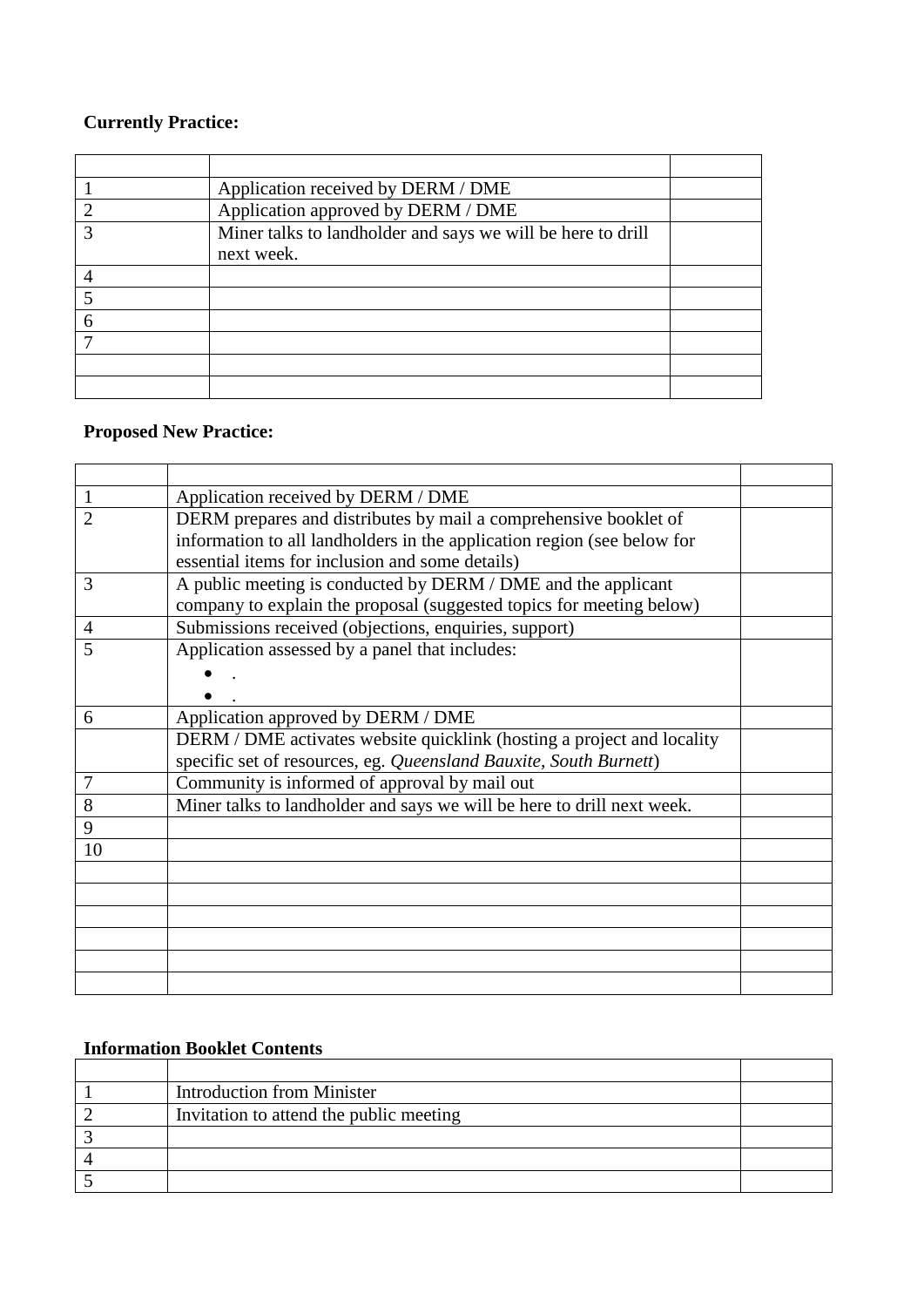## **Currently Practice:**

|   | Application received by DERM / DME                          |  |
|---|-------------------------------------------------------------|--|
|   | Application approved by DERM / DME                          |  |
|   | Miner talks to landholder and says we will be here to drill |  |
|   | next week.                                                  |  |
|   |                                                             |  |
|   |                                                             |  |
| 6 |                                                             |  |
|   |                                                             |  |
|   |                                                             |  |
|   |                                                             |  |

## **Proposed New Practice:**

| 1  | Application received by DERM / DME                                      |  |
|----|-------------------------------------------------------------------------|--|
| 2  | DERM prepares and distributes by mail a comprehensive booklet of        |  |
|    | information to all landholders in the application region (see below for |  |
|    | essential items for inclusion and some details)                         |  |
| 3  | A public meeting is conducted by DERM / DME and the applicant           |  |
|    | company to explain the proposal (suggested topics for meeting below)    |  |
| 4  | Submissions received (objections, enquiries, support)                   |  |
| 5  | Application assessed by a panel that includes:                          |  |
|    |                                                                         |  |
|    |                                                                         |  |
| 6  | Application approved by DERM / DME                                      |  |
|    | DERM / DME activates website quicklink (hosting a project and locality  |  |
|    | specific set of resources, eg. Queensland Bauxite, South Burnett)       |  |
| 7  | Community is informed of approval by mail out                           |  |
| 8  | Miner talks to landholder and says we will be here to drill next week.  |  |
| 9  |                                                                         |  |
| 10 |                                                                         |  |
|    |                                                                         |  |
|    |                                                                         |  |
|    |                                                                         |  |
|    |                                                                         |  |
|    |                                                                         |  |
|    |                                                                         |  |

## **Information Booklet Contents**

| <b>Introduction from Minister</b>       |  |
|-----------------------------------------|--|
| Invitation to attend the public meeting |  |
|                                         |  |
|                                         |  |
|                                         |  |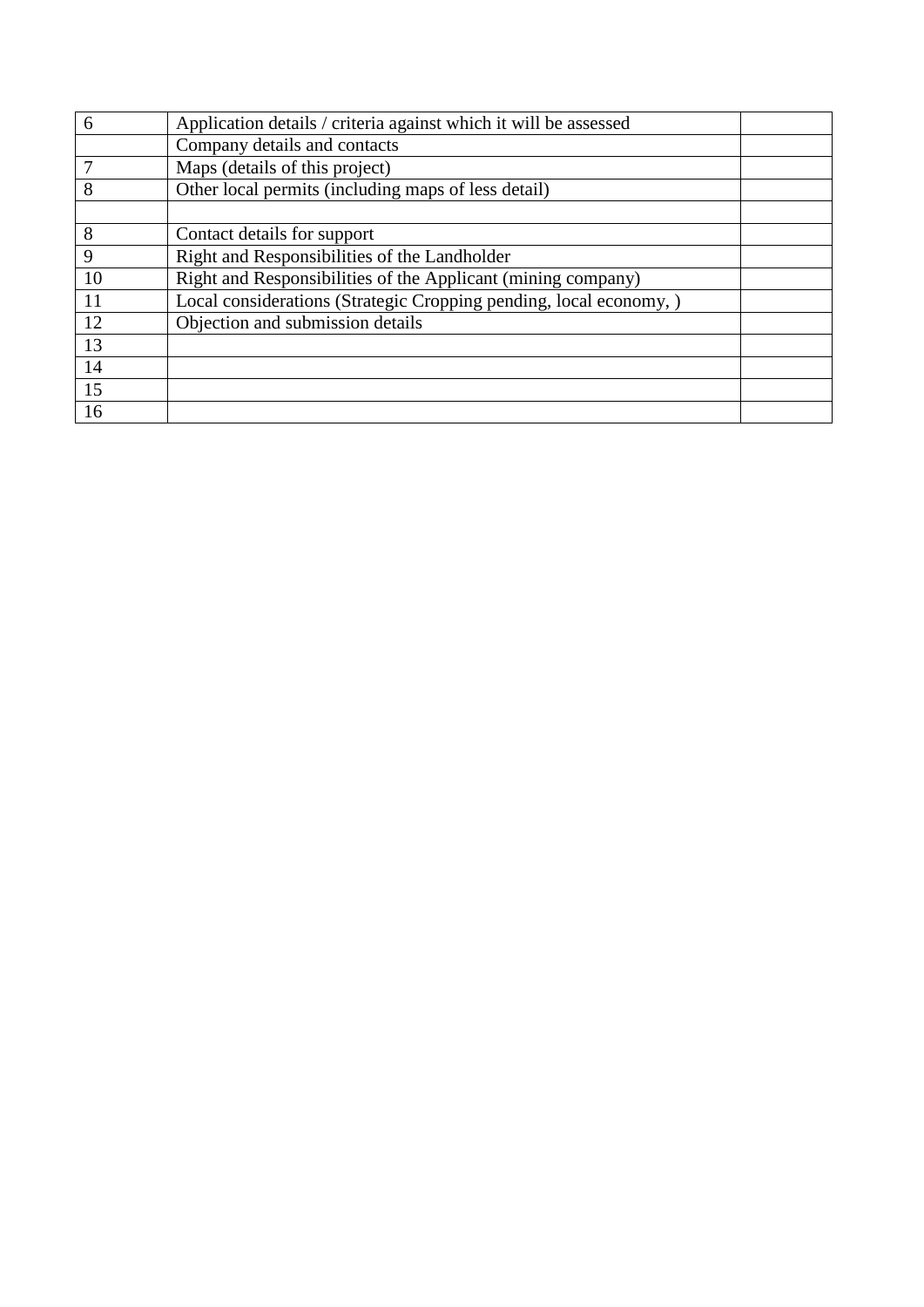| 6  | Application details / criteria against which it will be assessed   |  |
|----|--------------------------------------------------------------------|--|
|    | Company details and contacts                                       |  |
|    | Maps (details of this project)                                     |  |
| 8  | Other local permits (including maps of less detail)                |  |
|    |                                                                    |  |
| 8  | Contact details for support                                        |  |
| 9  | Right and Responsibilities of the Landholder                       |  |
| 10 | Right and Responsibilities of the Applicant (mining company)       |  |
| 11 | Local considerations (Strategic Cropping pending, local economy, ) |  |
| 12 | Objection and submission details                                   |  |
| 13 |                                                                    |  |
| 14 |                                                                    |  |
| 15 |                                                                    |  |
| 16 |                                                                    |  |